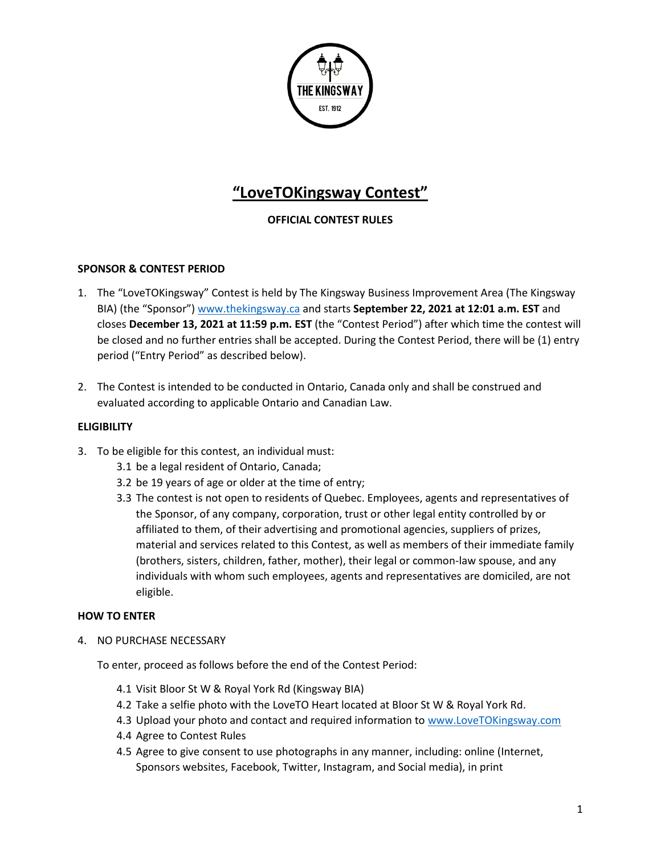

# **"LoveTOKingsway Contest"**

# **OFFICIAL CONTEST RULES**

## **SPONSOR & CONTEST PERIOD**

- 1. The "LoveTOKingsway" Contest is held by The Kingsway Business Improvement Area (The Kingsway BIA) (the "Sponsor") [www.thekingsway.ca](http://www.thekingsway.ca/) and starts **September 22, 2021 at 12:01 a.m. EST** and closes **December 13, 2021 at 11:59 p.m. EST** (the "Contest Period") after which time the contest will be closed and no further entries shall be accepted. During the Contest Period, there will be (1) entry period ("Entry Period" as described below).
- 2. The Contest is intended to be conducted in Ontario, Canada only and shall be construed and evaluated according to applicable Ontario and Canadian Law.

## **ELIGIBILITY**

- 3. To be eligible for this contest, an individual must:
	- 3.1 be a legal resident of Ontario, Canada;
	- 3.2 be 19 years of age or older at the time of entry;
	- 3.3 The contest is not open to residents of Quebec. Employees, agents and representatives of the Sponsor, of any company, corporation, trust or other legal entity controlled by or affiliated to them, of their advertising and promotional agencies, suppliers of prizes, material and services related to this Contest, as well as members of their immediate family (brothers, sisters, children, father, mother), their legal or common-law spouse, and any individuals with whom such employees, agents and representatives are domiciled, are not eligible.

## **HOW TO ENTER**

4. NO PURCHASE NECESSARY

To enter, proceed as follows before the end of the Contest Period:

- 4.1 Visit Bloor St W & Royal York Rd (Kingsway BIA)
- 4.2 Take a selfie photo with the LoveTO Heart located at Bloor St W & Royal York Rd.
- 4.3 Upload your photo and contact and required information to [www.LoveTOKingsway.com](http://www.lovetokingsway.com/)
- 4.4 Agree to Contest Rules
- 4.5 Agree to give consent to use photographs in any manner, including: online (Internet, Sponsors websites, Facebook, Twitter, Instagram, and Social media), in print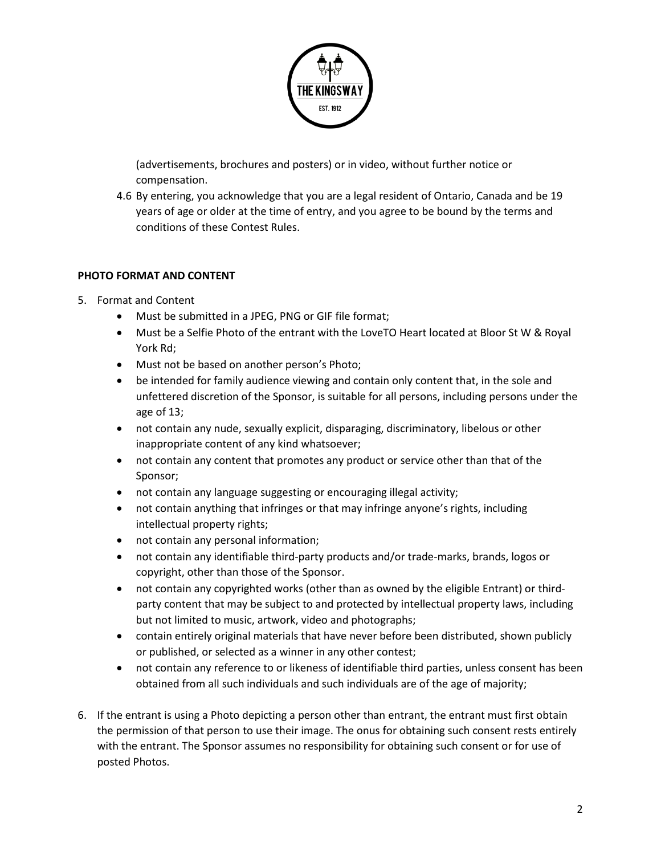

(advertisements, brochures and posters) or in video, without further notice or compensation.

4.6 By entering, you acknowledge that you are a legal resident of Ontario, Canada and be 19 years of age or older at the time of entry, and you agree to be bound by the terms and conditions of these Contest Rules.

## **PHOTO FORMAT AND CONTENT**

- 5. Format and Content
	- Must be submitted in a JPEG, PNG or GIF file format;
	- Must be a Selfie Photo of the entrant with the LoveTO Heart located at Bloor St W & Royal York Rd;
	- Must not be based on another person's Photo;
	- be intended for family audience viewing and contain only content that, in the sole and unfettered discretion of the Sponsor, is suitable for all persons, including persons under the age of 13;
	- not contain any nude, sexually explicit, disparaging, discriminatory, libelous or other inappropriate content of any kind whatsoever;
	- not contain any content that promotes any product or service other than that of the Sponsor;
	- not contain any language suggesting or encouraging illegal activity;
	- not contain anything that infringes or that may infringe anyone's rights, including intellectual property rights;
	- not contain any personal information;
	- not contain any identifiable third-party products and/or trade-marks, brands, logos or copyright, other than those of the Sponsor.
	- not contain any copyrighted works (other than as owned by the eligible Entrant) or thirdparty content that may be subject to and protected by intellectual property laws, including but not limited to music, artwork, video and photographs;
	- contain entirely original materials that have never before been distributed, shown publicly or published, or selected as a winner in any other contest;
	- not contain any reference to or likeness of identifiable third parties, unless consent has been obtained from all such individuals and such individuals are of the age of majority;
- 6. If the entrant is using a Photo depicting a person other than entrant, the entrant must first obtain the permission of that person to use their image. The onus for obtaining such consent rests entirely with the entrant. The Sponsor assumes no responsibility for obtaining such consent or for use of posted Photos.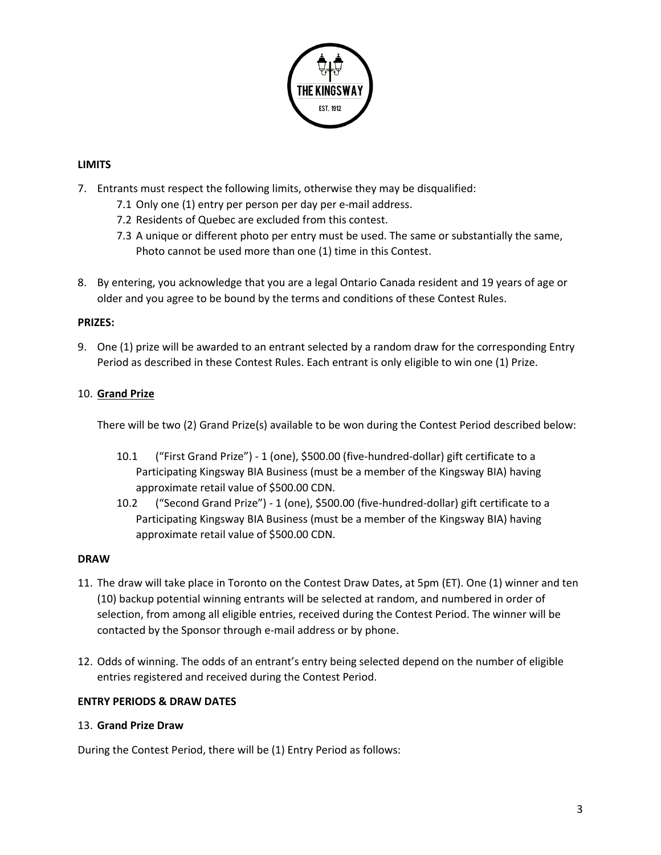

## **LIMITS**

- 7. Entrants must respect the following limits, otherwise they may be disqualified:
	- 7.1 Only one (1) entry per person per day per e-mail address.
	- 7.2 Residents of Quebec are excluded from this contest.
	- 7.3 A unique or different photo per entry must be used. The same or substantially the same, Photo cannot be used more than one (1) time in this Contest.
- 8. By entering, you acknowledge that you are a legal Ontario Canada resident and 19 years of age or older and you agree to be bound by the terms and conditions of these Contest Rules.

#### **PRIZES:**

9. One (1) prize will be awarded to an entrant selected by a random draw for the corresponding Entry Period as described in these Contest Rules. Each entrant is only eligible to win one (1) Prize.

## 10. **Grand Prize**

There will be two (2) Grand Prize(s) available to be won during the Contest Period described below:

- 10.1 ("First Grand Prize") 1 (one), \$500.00 (five-hundred-dollar) gift certificate to a Participating Kingsway BIA Business (must be a member of the Kingsway BIA) having approximate retail value of \$500.00 CDN.
- 10.2 ("Second Grand Prize") 1 (one), \$500.00 (five-hundred-dollar) gift certificate to a Participating Kingsway BIA Business (must be a member of the Kingsway BIA) having approximate retail value of \$500.00 CDN.

## **DRAW**

- 11. The draw will take place in Toronto on the Contest Draw Dates, at 5pm (ET). One (1) winner and ten (10) backup potential winning entrants will be selected at random, and numbered in order of selection, from among all eligible entries, received during the Contest Period. The winner will be contacted by the Sponsor through e-mail address or by phone.
- 12. Odds of winning. The odds of an entrant's entry being selected depend on the number of eligible entries registered and received during the Contest Period.

## **ENTRY PERIODS & DRAW DATES**

#### 13. **Grand Prize Draw**

During the Contest Period, there will be (1) Entry Period as follows: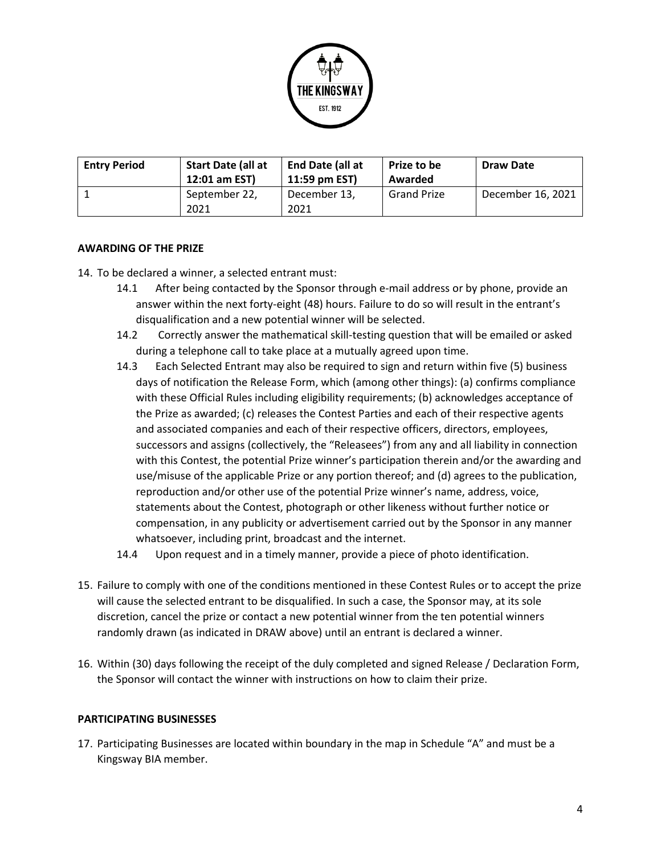

| <b>Entry Period</b> | Start Date (all at<br>12:01 am EST) | End Date (all at<br>11:59 pm EST) | <b>Prize to be</b><br>Awarded | <b>Draw Date</b>  |
|---------------------|-------------------------------------|-----------------------------------|-------------------------------|-------------------|
|                     | September 22,<br>2021               | December 13,<br>2021              | <b>Grand Prize</b>            | December 16, 2021 |

## **AWARDING OF THE PRIZE**

- 14. To be declared a winner, a selected entrant must:
	- 14.1 After being contacted by the Sponsor through e-mail address or by phone, provide an answer within the next forty-eight (48) hours. Failure to do so will result in the entrant's disqualification and a new potential winner will be selected.
	- 14.2 Correctly answer the mathematical skill-testing question that will be emailed or asked during a telephone call to take place at a mutually agreed upon time.
	- 14.3 Each Selected Entrant may also be required to sign and return within five (5) business days of notification the Release Form, which (among other things): (a) confirms compliance with these Official Rules including eligibility requirements; (b) acknowledges acceptance of the Prize as awarded; (c) releases the Contest Parties and each of their respective agents and associated companies and each of their respective officers, directors, employees, successors and assigns (collectively, the "Releasees") from any and all liability in connection with this Contest, the potential Prize winner's participation therein and/or the awarding and use/misuse of the applicable Prize or any portion thereof; and (d) agrees to the publication, reproduction and/or other use of the potential Prize winner's name, address, voice, statements about the Contest, photograph or other likeness without further notice or compensation, in any publicity or advertisement carried out by the Sponsor in any manner whatsoever, including print, broadcast and the internet.
	- 14.4 Upon request and in a timely manner, provide a piece of photo identification.
- 15. Failure to comply with one of the conditions mentioned in these Contest Rules or to accept the prize will cause the selected entrant to be disqualified. In such a case, the Sponsor may, at its sole discretion, cancel the prize or contact a new potential winner from the ten potential winners randomly drawn (as indicated in DRAW above) until an entrant is declared a winner.
- 16. Within (30) days following the receipt of the duly completed and signed Release / Declaration Form, the Sponsor will contact the winner with instructions on how to claim their prize.

#### **PARTICIPATING BUSINESSES**

17. Participating Businesses are located within boundary in the map in Schedule "A" and must be a Kingsway BIA member.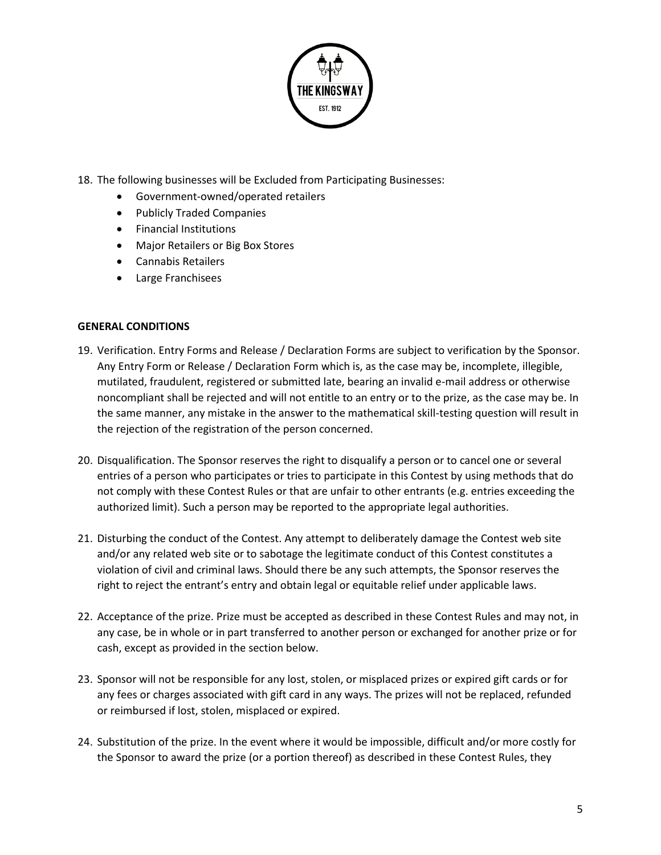

- 18. The following businesses will be Excluded from Participating Businesses:
	- Government-owned/operated retailers
	- Publicly Traded Companies
	- Financial Institutions
	- Major Retailers or Big Box Stores
	- Cannabis Retailers
	- Large Franchisees

## **GENERAL CONDITIONS**

- 19. Verification. Entry Forms and Release / Declaration Forms are subject to verification by the Sponsor. Any Entry Form or Release / Declaration Form which is, as the case may be, incomplete, illegible, mutilated, fraudulent, registered or submitted late, bearing an invalid e-mail address or otherwise noncompliant shall be rejected and will not entitle to an entry or to the prize, as the case may be. In the same manner, any mistake in the answer to the mathematical skill-testing question will result in the rejection of the registration of the person concerned.
- 20. Disqualification. The Sponsor reserves the right to disqualify a person or to cancel one or several entries of a person who participates or tries to participate in this Contest by using methods that do not comply with these Contest Rules or that are unfair to other entrants (e.g. entries exceeding the authorized limit). Such a person may be reported to the appropriate legal authorities.
- 21. Disturbing the conduct of the Contest. Any attempt to deliberately damage the Contest web site and/or any related web site or to sabotage the legitimate conduct of this Contest constitutes a violation of civil and criminal laws. Should there be any such attempts, the Sponsor reserves the right to reject the entrant's entry and obtain legal or equitable relief under applicable laws.
- 22. Acceptance of the prize. Prize must be accepted as described in these Contest Rules and may not, in any case, be in whole or in part transferred to another person or exchanged for another prize or for cash, except as provided in the section below.
- 23. Sponsor will not be responsible for any lost, stolen, or misplaced prizes or expired gift cards or for any fees or charges associated with gift card in any ways. The prizes will not be replaced, refunded or reimbursed if lost, stolen, misplaced or expired.
- 24. Substitution of the prize. In the event where it would be impossible, difficult and/or more costly for the Sponsor to award the prize (or a portion thereof) as described in these Contest Rules, they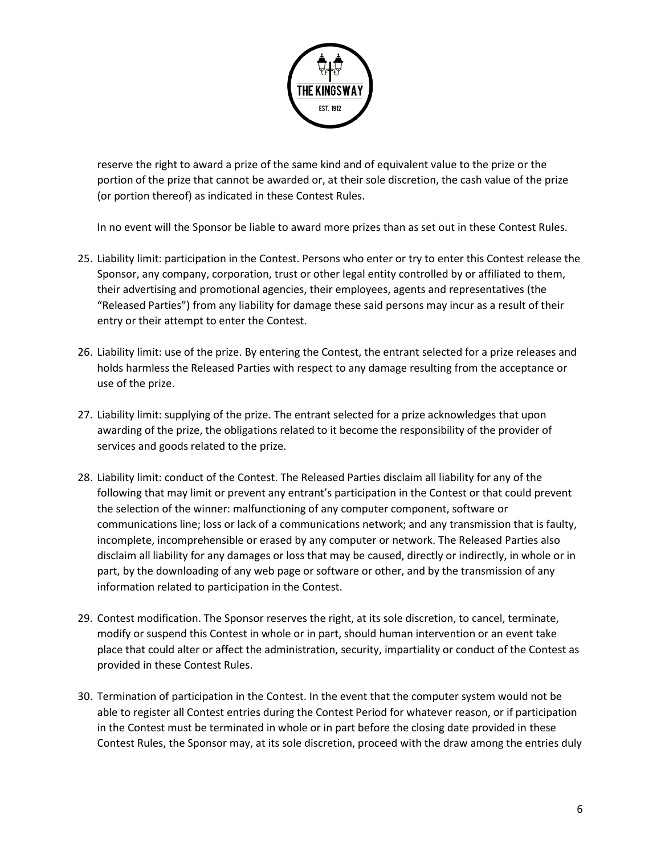

reserve the right to award a prize of the same kind and of equivalent value to the prize or the portion of the prize that cannot be awarded or, at their sole discretion, the cash value of the prize (or portion thereof) as indicated in these Contest Rules.

In no event will the Sponsor be liable to award more prizes than as set out in these Contest Rules.

- 25. Liability limit: participation in the Contest. Persons who enter or try to enter this Contest release the Sponsor, any company, corporation, trust or other legal entity controlled by or affiliated to them, their advertising and promotional agencies, their employees, agents and representatives (the "Released Parties") from any liability for damage these said persons may incur as a result of their entry or their attempt to enter the Contest.
- 26. Liability limit: use of the prize. By entering the Contest, the entrant selected for a prize releases and holds harmless the Released Parties with respect to any damage resulting from the acceptance or use of the prize.
- 27. Liability limit: supplying of the prize. The entrant selected for a prize acknowledges that upon awarding of the prize, the obligations related to it become the responsibility of the provider of services and goods related to the prize.
- 28. Liability limit: conduct of the Contest. The Released Parties disclaim all liability for any of the following that may limit or prevent any entrant's participation in the Contest or that could prevent the selection of the winner: malfunctioning of any computer component, software or communications line; loss or lack of a communications network; and any transmission that is faulty, incomplete, incomprehensible or erased by any computer or network. The Released Parties also disclaim all liability for any damages or loss that may be caused, directly or indirectly, in whole or in part, by the downloading of any web page or software or other, and by the transmission of any information related to participation in the Contest.
- 29. Contest modification. The Sponsor reserves the right, at its sole discretion, to cancel, terminate, modify or suspend this Contest in whole or in part, should human intervention or an event take place that could alter or affect the administration, security, impartiality or conduct of the Contest as provided in these Contest Rules.
- 30. Termination of participation in the Contest. In the event that the computer system would not be able to register all Contest entries during the Contest Period for whatever reason, or if participation in the Contest must be terminated in whole or in part before the closing date provided in these Contest Rules, the Sponsor may, at its sole discretion, proceed with the draw among the entries duly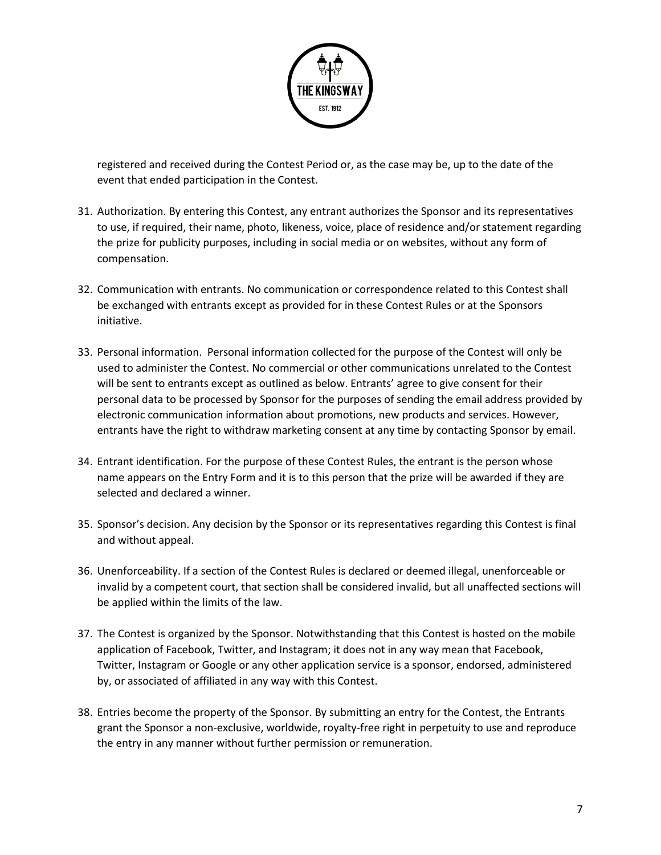

registered and received during the Contest Period or, as the case may be, up to the date of the event that ended participation in the Contest.

- 31. Authorization. By entering this Contest, any entrant authorizes the Sponsor and its representatives to use, if required, their name, photo, likeness, voice, place of residence and/or statement regarding the prize for publicity purposes, including in social media or on websites, without any form of compensation.
- 32. Communication with entrants. No communication or correspondence related to this Contest shall be exchanged with entrants except as provided for in these Contest Rules or at the Sponsors initiative.
- 33. Personal information. Personal information collected for the purpose of the Contest will only be used to administer the Contest. No commercial or other communications unrelated to the Contest will be sent to entrants except as outlined as below. Entrants' agree to give consent for their personal data to be processed by Sponsor for the purposes of sending the email address provided by electronic communication information about promotions, new products and services. However, entrants have the right to withdraw marketing consent at any time by contacting Sponsor by email.
- 34. Entrant identification. For the purpose of these Contest Rules, the entrant is the person whose name appears on the Entry Form and it is to this person that the prize will be awarded if they are selected and declared a winner.
- 35. Sponsor's decision. Any decision by the Sponsor or its representatives regarding this Contest is final and without appeal.
- 36. Unenforceability. If a section of the Contest Rules is declared or deemed illegal, unenforceable or invalid by a competent court, that section shall be considered invalid, but all unaffected sections will be applied within the limits of the law.
- 37. The Contest is organized by the Sponsor. Notwithstanding that this Contest is hosted on the mobile application of Facebook, Twitter, and Instagram; it does not in any way mean that Facebook, Twitter, Instagram or Google or any other application service is a sponsor, endorsed, administered by, or associated of affiliated in any way with this Contest.
- 38. Entries become the property of the Sponsor. By submitting an entry for the Contest, the Entrants grant the Sponsor a non-exclusive, worldwide, royalty-free right in perpetuity to use and reproduce the entry in any manner without further permission or remuneration.